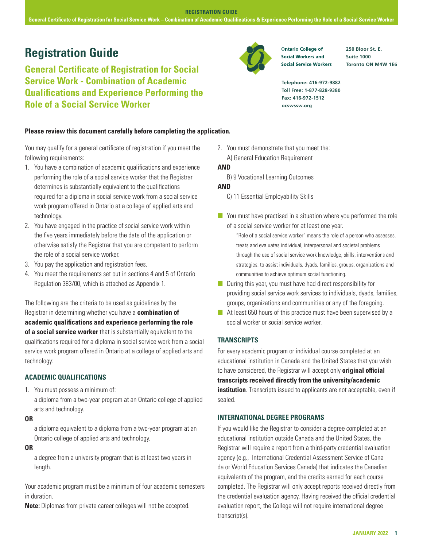**General Certificate of Registration for Social Service Work – Combination of Academic Qualifications & Experience Performing the Role of a Social Service Worker**

# **Registration Guide 250 Bloor St. E. Property Contario College of** 250 Bloor St. E.

**General Certificate of Registration for Social Service Work - Combination of Academic Qualifications and Experience Performing the Role of a Social Service Worker** 



**Social Service Workers** 

**Suite 1000 Toronto ON M4W 1E6**

**Telephone: 416-972-9882 Toll Free: 1-877-828-9380 Fax: 416-972-1512 ocswssw.org**

### **Please review this document carefully before completing the application.**

You may qualify for a general certificate of registration if you meet the following requirements:

- 1. You have a combination of academic qualifications and experience performing the role of a social service worker that the Registrar determines is substantially equivalent to the qualifications required for a diploma in social service work from a social service work program offered in Ontario at a college of applied arts and technology.
- 2. You have engaged in the practice of social service work within the five years immediately before the date of the application or otherwise satisfy the Registrar that you are competent to perform the role of a social service worker.
- 3. You pay the application and registration fees.
- 4. You meet the requirements set out in sections 4 and 5 of Ontario Regulation 383/00, which is attached as Appendix 1.

The following are the criteria to be used as guidelines by the Registrar in determining whether you have a **combination of academic qualifications and experience performing the role of a social service worker** that is substantially equivalent to the qualifications required for a diploma in social service work from a social service work program offered in Ontario at a college of applied arts and technology:

# **ACADEMIC QUALIFICATIONS**

1. You must possess a minimum of:

a diploma from a two-year program at an Ontario college of applied arts and technology.

#### **OR**

a diploma equivalent to a diploma from a two-year program at an Ontario college of applied arts and technology.

**OR**

a degree from a university program that is at least two years in length.

Your academic program must be a minimum of four academic semesters in duration.

**Note:** Diplomas from private career colleges will not be accepted.

2. You must demonstrate that you meet the: A) General Education Requirement

#### **AND**

B) 9 Vocational Learning Outcomes

#### **AND**

- C) 11 Essential Employability Skills
- $\blacksquare$  You must have practised in a situation where you performed the role of a social service worker for at least one year.

"Role of a social service worker" means the role of a person who assesses, treats and evaluates individual, interpersonal and societal problems through the use of social service work knowledge, skills, interventions and strategies, to assist individuals, dyads, families, groups, organizations and communities to achieve optimum social functioning.

- $\blacksquare$  During this year, you must have had direct responsibility for providing social service work services to individuals, dyads, families, groups, organizations and communities or any of the foregoing.
- $\blacksquare$  At least 650 hours of this practice must have been supervised by a social worker or social service worker.

#### **TRANSCRIPTS**

For every academic program or individual course completed at an educational institution in Canada and the United States that you wish to have considered, the Registrar will accept only **original official transcripts received directly from the university/academic institution**. Transcripts issued to applicants are not acceptable, even if sealed.

#### **INTERNATIONAL DEGREE PROGRAMS**

If you would like the Registrar to consider a degree completed at an educational institution outside Canada and the United States, the Registrar will require a report from a third-party credential evaluation agency (e.g., International Credential Assessment Service of Cana da or World Education Services Canada) that indicates the Canadian equivalents of the program, and the credits earned for each course completed. The Registrar will only accept reports received directly from the credential evaluation agency. Having received the official credential evaluation report, the College will not require international degree transcript(s).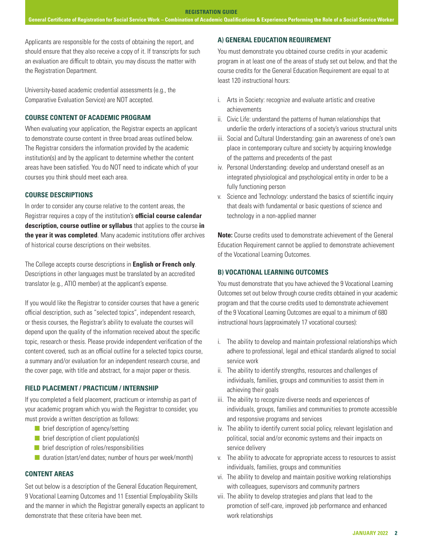Applicants are responsible for the costs of obtaining the report, and should ensure that they also receive a copy of it. If transcripts for such an evaluation are difficult to obtain, you may discuss the matter with the Registration Department.

University-based academic credential assessments (e.g., the Comparative Evaluation Service) are NOT accepted.

# **COURSE CONTENT OF ACADEMIC PROGRAM**

When evaluating your application, the Registrar expects an applicant to demonstrate course content in three broad areas outlined below. The Registrar considers the information provided by the academic institution(s) and by the applicant to determine whether the content areas have been satisfied. You do NOT need to indicate which of your courses you think should meet each area.

### **COURSE DESCRIPTIONS**

In order to consider any course relative to the content areas, the Registrar requires a copy of the institution's **official course calendar description, course outline or syllabus** that applies to the course **in the year it was completed**. Many academic institutions offer archives of historical course descriptions on their websites.

The College accepts course descriptions in **English or French only**. Descriptions in other languages must be translated by an accredited translator (e.g., ATIO member) at the applicant's expense.

If you would like the Registrar to consider courses that have a generic official description, such as "selected topics", independent research, or thesis courses, the Registrar's ability to evaluate the courses will depend upon the quality of the information received about the specific topic, research or thesis. Please provide independent verification of the content covered, such as an official outline for a selected topics course, a summary and/or evaluation for an independent research course, and the cover page, with title and abstract, for a major paper or thesis.

# **FIELD PLACEMENT / PRACTICUM / INTERNSHIP**

If you completed a field placement, practicum or internship as part of your academic program which you wish the Registrar to consider, you must provide a written description as follows:

- $\blacksquare$  brief description of agency/setting
- $\blacksquare$  brief description of client population(s)
- $\blacksquare$  brief description of roles/responsibilities
- $\blacksquare$  duration (start/end dates; number of hours per week/month)

#### **CONTENT AREAS**

Set out below is a description of the General Education Requirement, 9 Vocational Learning Outcomes and 11 Essential Employability Skills and the manner in which the Registrar generally expects an applicant to demonstrate that these criteria have been met.

# **A) GENERAL EDUCATION REQUIREMENT**

You must demonstrate you obtained course credits in your academic program in at least one of the areas of study set out below, and that the course credits for the General Education Requirement are equal to at least 120 instructional hours:

- i. Arts in Society: recognize and evaluate artistic and creative achievements
- ii. Civic Life: understand the patterns of human relationships that underlie the orderly interactions of a society's various structural units
- iii. Social and Cultural Understanding: gain an awareness of one's own place in contemporary culture and society by acquiring knowledge of the patterns and precedents of the past
- iv. Personal Understanding: develop and understand oneself as an integrated physiological and psychological entity in order to be a fully functioning person
- v. Science and Technology: understand the basics of scientific inquiry that deals with fundamental or basic questions of science and technology in a non-applied manner

**Note:** Course credits used to demonstrate achievement of the General Education Requirement cannot be applied to demonstrate achievement of the Vocational Learning Outcomes.

#### **B) VOCATIONAL LEARNING OUTCOMES**

You must demonstrate that you have achieved the 9 Vocational Learning Outcomes set out below through course credits obtained in your academic program and that the course credits used to demonstrate achievement of the 9 Vocational Learning Outcomes are equal to a minimum of 680 instructional hours (approximately 17 vocational courses):

- i. The ability to develop and maintain professional relationships which adhere to professional, legal and ethical standards aligned to social service work
- ii. The ability to identify strengths, resources and challenges of individuals, families, groups and communities to assist them in achieving their goals
- iii. The ability to recognize diverse needs and experiences of individuals, groups, families and communities to promote accessible and responsive programs and services
- iv. The ability to identify current social policy, relevant legislation and political, social and/or economic systems and their impacts on service delivery
- v. The ability to advocate for appropriate access to resources to assist individuals, families, groups and communities
- vi. The ability to develop and maintain positive working relationships with colleagues, supervisors and community partners
- vii. The ability to develop strategies and plans that lead to the promotion of self-care, improved job performance and enhanced work relationships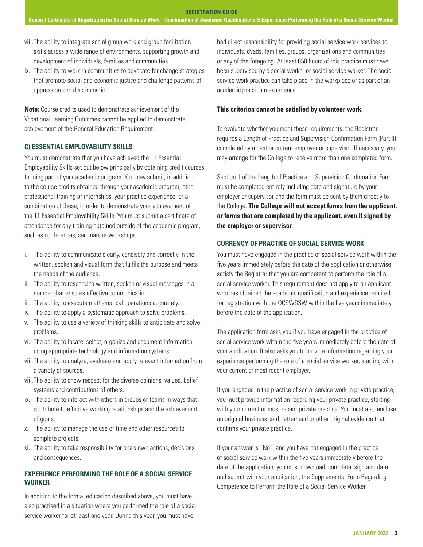- viii.The ability to integrate social group work and group facilitation skills across a wide range of environments, supporting growth and development of individuals, families and communities
- ix. The ability to work in communities to advocate for change strategies that promote social and economic justice and challenge patterns of oppression and discrimination

**Note:** Course credits used to demonstrate achievement of the Vocational Learning Outcomes cannot be applied to demonstrate achievement of the General Education Requirement.

#### **C) ESSENTIAL EMPLOYABILITY SKILLS**

You must demonstrate that you have achieved the 11 Essential Employability Skills set out below principally by obtaining credit courses forming part of your academic program. You may submit, in addition to the course credits obtained through your academic program, other professional training or internships, your practice experience, or a combination of these, in order to demonstrate your achievement of the 11 Essential Employability Skills. You must submit a certificate of attendance for any training obtained outside of the academic program, such as conferences, seminars or workshops.

- i. The ability to communicate clearly, concisely and correctly in the written, spoken and visual form that fulfils the purpose and meets the needs of the audience.
- ii. The ability to respond to written, spoken or visual messages in a manner that ensures effective communication.
- iii. The ability to execute mathematical operations accurately.
- iv. The ability to apply a systematic approach to solve problems.
- v. The ability to use a variety of thinking skills to anticipate and solve problems.
- vi. The ability to locate, select, organize and document information using appropriate technology and information systems.
- vii. The ability to analyze, evaluate and apply relevant information from a variety of sources.
- viii.The ability to show respect for the diverse opinions, values, belief systems and contributions of others.
- ix. The ability to interact with others in groups or teams in ways that contribute to effective working relationships and the achievement of goals.
- x. The ability to manage the use of time and other resources to complete projects.
- xi. The ability to take responsibility for one's own actions, decisions and consequences.

#### **EXPERIENCE PERFORMING THE ROLE OF A SOCIAL SERVICE WORKER**

In addition to the formal education described above, you must have also practised in a situation where you performed the role of a social service worker for at least one year. During this year, you must have

had direct responsibility for providing social service work services to individuals, dyads, families, groups, organizations and communities or any of the foregoing. At least 650 hours of this practice must have been supervised by a social worker or social service worker. The social service work practice can take place in the workplace or as part of an academic practicum experience.

#### **This criterion cannot be satisfied by volunteer work.**

To evaluate whether you meet these requirements, the Registrar requires a Length of Practice and Supervision Confirmation Form (Part II) completed by a past or current employer or supervisor. If necessary, you may arrange for the College to receive more than one completed form.

Section II of the Length of Practice and Supervision Confirmation Form must be completed entirely including date and signature by your employer or supervisor and the form must be sent by them directly to the College. **The College will not accept forms from the applicant, or forms that are completed by the applicant, even if signed by the employer or supervisor.** 

#### **CURRENCY OF PRACTICE OF SOCIAL SERVICE WORK**

You must have engaged in the practice of social service work within the five years immediately before the date of the application or otherwise satisfy the Registrar that you are competent to perform the role of a social service worker. This requirement does not apply to an applicant who has obtained the academic qualification and experience required for registration with the OCSWSSW within the five years immediately before the date of the application.

The application form asks you if you have engaged in the practice of social service work within the five years immediately before the date of your application. It also asks you to provide information regarding your experience performing the role of a social service worker, starting with your current or most recent employer.

If you engaged in the practice of social service work in private practice, you must provide information regarding your private practice, starting with your current or most recent private practice. You must also enclose an original business card, letterhead or other original evidence that confirms your private practice.

If your answer is "No", and you have not engaged in the practice of social service work within the five years immediately before the date of the application, you must download, complete, sign and date and submit with your application, the Supplemental Form Regarding Competence to Perform the Role of a Social Service Worker.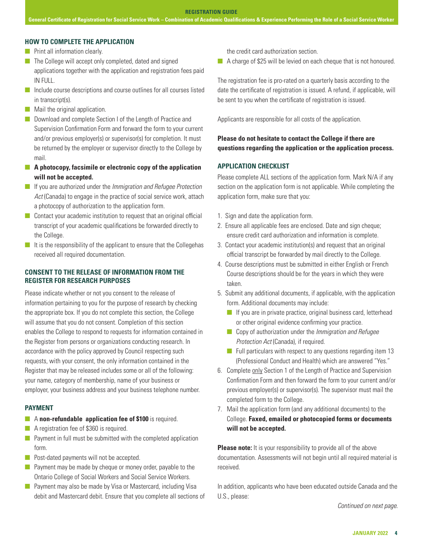#### **HOW TO COMPLETE THE APPLICATION**

- **n** Print all information clearly.
- $\blacksquare$  The College will accept only completed, dated and signed applications together with the application and registration fees paid IN FULL.
- $\blacksquare$  Include course descriptions and course outlines for all courses listed in transcript(s).
- $\blacksquare$  Mail the original application.
- **n** Download and complete Section I of the Length of Practice and Supervision Confirmation Form and forward the form to your current and/or previous employer(s) or supervisor(s) for completion. It must be returned by the employer or supervisor directly to the College by mail.
- **n** A photocopy, facsimile or electronic copy of the application **will not be accepted.**
- **n** If you are authorized under the *Immigration and Refugee Protection* Act (Canada) to engage in the practice of social service work, attach a photocopy of authorization to the application form.
- $\Box$  Contact your academic institution to request that an original official transcript of your academic qualifications be forwarded directly to the College.
- $\blacksquare$  It is the responsibility of the applicant to ensure that the Collegehas received all required documentation.

# **CONSENT TO THE RELEASE OF INFORMATION FROM THE REGISTER FOR RESEARCH PURPOSES**

Please indicate whether or not you consent to the release of information pertaining to you for the purpose of research by checking the appropriate box. If you do not complete this section, the College will assume that you do not consent. Completion of this section enables the College to respond to requests for information contained in the Register from persons or organizations conducting research. In accordance with the policy approved by Council respecting such requests, with your consent, the only information contained in the Register that may be released includes some or all of the following: your name, category of membership, name of your business or employer, your business address and your business telephone number.

#### **PAYMENT**

- **n** A **non-refundable application fee of \$100** is required.
- **n** A registration fee of \$360 is required.
- $\blacksquare$  Payment in full must be submitted with the completed application form.
- $\blacksquare$  Post-dated payments will not be accepted.
- **n** Payment may be made by cheque or money order, payable to the Ontario College of Social Workers and Social Service Workers.
- **n** Payment may also be made by Visa or Mastercard, including Visa debit and Mastercard debit. Ensure that you complete all sections of

the credit card authorization section.

 $\blacksquare$  A charge of \$25 will be levied on each cheque that is not honoured.

The registration fee is pro-rated on a quarterly basis according to the date the certificate of registration is issued. A refund, if applicable, will be sent to you when the certificate of registration is issued.

Applicants are responsible for all costs of the application.

# **Please do not hesitate to contact the College if there are questions regarding the application or the application process.**

#### **APPLICATION CHECKLIST**

Please complete ALL sections of the application form. Mark N/A if any section on the application form is not applicable. While completing the application form, make sure that you:

- 1. Sign and date the application form.
- 2. Ensure all applicable fees are enclosed. Date and sign cheque; ensure credit card authorization and information is complete.
- 3. Contact your academic institution(s) and request that an original official transcript be forwarded by mail directly to the College.
- 4. Course descriptions must be submitted in either English or French Course descriptions should be for the years in which they were taken.
- 5. Submit any additional documents, if applicable, with the application form. Additional documents may include:
	- $\blacksquare$  If you are in private practice, original business card, letterhead or other original evidence confirming your practice.
	- n Copy of authorization under the *Immigration and Refugee Protection Act* (Canada), if required.
	- $\blacksquare$  Full particulars with respect to any questions regarding item 13 (Professional Conduct and Health) which are answered "Yes."
- 6. Complete only Section 1 of the Length of Practice and Supervision Confirmation Form and then forward the form to your current and/or previous employer(s) or supervisor(s). The supervisor must mail the completed form to the College.
- 7. Mail the application form (and any additional documents) to the College. **Faxed, emailed or photocopied forms or documents will not be accepted.**

**Please note:** It is your responsibility to provide all of the above documentation. Assessments will not begin until all required material is received.

In addition, applicants who have been educated outside Canada and the U.S., please:

*Continued on next page.*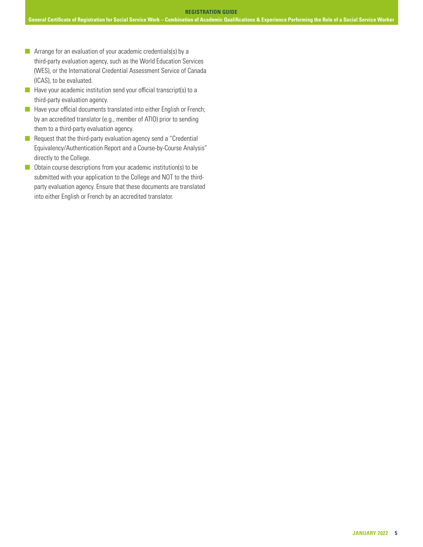- **n** Arrange for an evaluation of your academic credentials(s) by a third-party evaluation agency, such as the World Education Services (WES), or the International Credential Assessment Service of Canada (ICAS), to be evaluated.
- $\blacksquare$  Have your academic institution send your official transcript(s) to a third-party evaluation agency.
- **n** Have your official documents translated into either English or French; by an accredited translator (e.g., member of ATIO) prior to sending them to a third-party evaluation agency.
- $\blacksquare$  Request that the third-party evaluation agency send a "Credential Equivalency/Authentication Report and a Course-by-Course Analysis" directly to the College.
- $\Box$  Obtain course descriptions from your academic institution(s) to be submitted with your application to the College and NOT to the thirdparty evaluation agency. Ensure that these documents are translated into either English or French by an accredited translator.